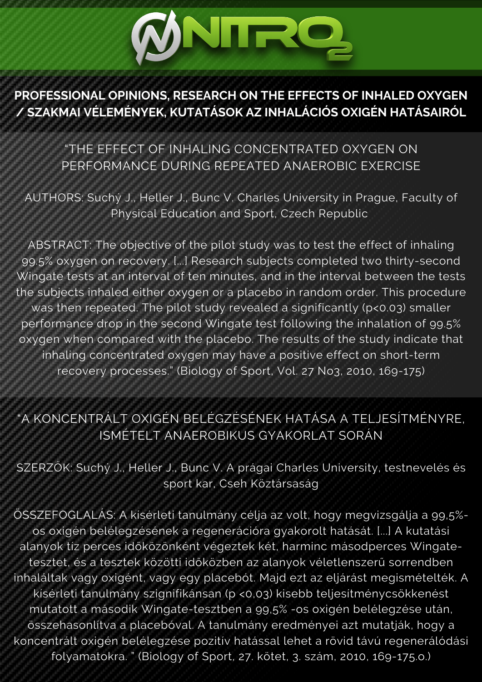# **ØNIRQ**

### **PROFESSIONAL OPINIONS, RESEARCH ON THE EFFECTS OF INHALED OXYGEN / SZAKMAI VÉLEMÉNYEK, KUTATÁSOK AZ INHALÁCIÓS OXIGÉN HATÁSAIRÓL**

## "THE EFFECT OF INHALING CONCENTRATED OXYGEN ON PERFORMANCE DURING REPEATED ANAEROBIC EXERCISE

AUTHORS: Suchý J., Heller J., Bunc V. Charles University in Prague, Faculty of Physical Education and Sport, Czech Republic

ABSTRACT: The objective of the pilot study was to test the effect of inhaling 99.5% oxygen on recovery. [...] Research subjects completed two thirty-second Wingate tests at an interval of ten minutes, and in the interval between the tests the subjects inhaled either oxygen or a placebo in random order. This procedure was then repeated. The pilot study revealed a significantly (p<0.03) smaller performance drop in the second Wingate test following the inhalation of 99.5% oxygen when compared with the placebo. The results of the study indicate that inhaling concentrated oxygen may have a positive effect on short-term recovery processes." (Biology of Sport, Vol. 27 No3, 2010, 169-175)

## "A KONCENTRÁLT OXIGÉN BELÉGZÉSÉNEK HATÁSA A TELJESÍTMÉNYRE, ISMÉTELT ANAEROBIKUS GYAKORLAT SORÁN

SZERZŐK: Suchý J., Heller J., Bunc V. A prágai Charles University, testnevelés és sport kar, Cseh Köztársaság

ÖSSZEFOGLALÁS: A kísérleti tanulmány célja az volt, hogy megvizsgálja a 99,5% os oxigén belélegzésének a regenerációra gyakorolt hatását. [...] A kutatási alanyok tíz perces időközönként végeztek két, harminc másodperces Wingatetesztet, és a tesztek közötti időközben az alanyok véletlenszerű sorrendben inhaláltak vagy oxigént, vagy egy placebót. Majd ezt az eljárást megismételték. A kísérleti tanulmány szignifikánsan (p <0,03) kisebb teljesítménycsökkenést mutatott a második Wingate-tesztben a 99,5% -os oxigén belélegzése után, összehasonlítva a placebóval. A tanulmány eredményei azt mutatják, hogy a koncentrált oxigén belélegzése pozitív hatással lehet a rövid távú regenerálódási folyamatokra. " (Biology of Sport, 27. kötet, 3. szám, 2010, 169-175.o.)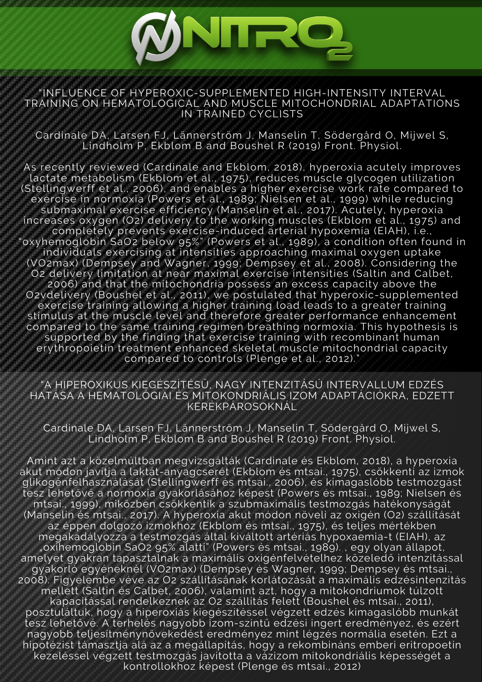#### "INFLUENCE OF HYPEROXIC-SUPPLEMENTED HIGH-INTENSITY INTERVAL TRAINING ON HEMATOLOGICAL AND MUSCLE MITOCHONDRIAL ADAPTATIONS IN TRAINED CYCLISTS

MNIRO

Cardinale DA, Larsen FJ, Lännerström J, Manselin T, Södergård O, Mijwel S, Lindholm P, Ekblom B and Boushel R (2019) Front. Physiol.

As recently reviewed (Cardinale and Ekblom, 2018), hyperoxia acutely improves lactate metabolism (Ekblom et al., 1975), reduces muscle glycogen utilization (Stellingwerff et al., 2006), and enables a higher exercise work rate compared to exercise in normoxia (Powers et al., 1989; Nielsen et al., 1999) while reducing submaximal exercise efficiency (Manselin et al., 2017). Acutely, hyperoxia increases oxygen (O2) delivery to the working muscles (Ekblom et al., 1975) and completely prevents exercise-induced arterial hypoxemia (EIAH), i.e., "oxyhemoglobin SaO2 below 95%" (Powers et al., 1989), a condition often found in individuals exercising at intensities approaching maximal oxygen uptake (VO2max) (Dempsey and Wagner, 1999; Dempsey et al., 2008). Considering the O2 delivery limitation at near maximal exercise intensities (Saltin and Calbet, 2006) and that the mitochondria possess an excess capacity above the O2vdelivery (Boushel et al., 2011), we postulated that hyperoxic-supplemented exercise training allowing a higher training load leads to a greater training stimulus at the muscle level and therefore greater performance enhancement compared to the same training regimen breathing normoxia. This hypothesis is supported by the finding that exercise training with recombinant human erythropoietin treatment enhanced skeletal muscle mitochondrial capacity compared to controls (Plenge et al., 2012)."

"A HIPEROXIKUS KIEGÉSZÍTÉSŰ, NAGY INTENZITÁSÚ INTERVALLUM EDZÉS HATÁSA A HEMATOLÓGIAI ÉS MITOKONDRIÁLIS IZOM ADAPTÁCIÓKRA, EDZETT KERÉKPÁROSOKNÁL

Cardinale DA, Larsen FJ, Lännerström J, Manselin T, Södergård O, Mijwel S, Lindholm P, Ekblom B and Boushel R (2019) Front. Physiol.

Amint azt a közelmúltban megvizsgálták (Cardinale és Ekblom, 2018), a hyperoxia akut módon javítja a laktát-anyagcserét (Ekblom és mtsai., 1975), csökkenti az izmok glikogénfelhasználását (Stellingwerff és mtsai., 2006), és kimagaslóbb testmozgást tesz lehetővé a normoxia gyakorlásához képest (Powers és mtsai., 1989; Nielsen és mtsai., 1999), miközben csökkentik a szubmaximális testmozgás hatékonyságát (Manselin és mtsai., 2017). A hyperoxia akut módon növeli az oxigén (O2) szállítását az éppen dolgozó izmokhoz (Ekblom és mtsai., 1975), és teljes mértékben megakadályozza a testmozgás által kiváltott artériás hypoxaemia-t (EIAH), az "oxihemoglobin SaO2 95% alatti" (Powers és mtsai., 1989). , egy olyan állapot, amelyet gyakran tapasztalnak a maximális oxigénfelvételhez közeledő intenzitással gyakorló egyéneknél (VO2max) (Dempsey és Wagner, 1999; Dempsey és mtsai., 2008). Figyelembe véve az O2 szállításának korlátozását a maximális edzésintenzitás mellett (Saltin és Calbet, 2006), valamint azt, hogy a mitokondriumok túlzott kapacitással rendelkeznek az O2 szállítás felett (Boushel és mtsai., 2011), posztuláltuk, hogy a hiperoxiás kiegészítéssel végzett edzés kimagaslóbb munkát tesz lehetővé. A terhelés nagyobb izom-szintű edzési ingert eredményez, és ezért nagyobb teljesítménynövekedést eredményez mint légzés normália esetén. Ezt a hipotézist támasztja alá az a megállapítás, hogy a rekombináns emberi eritropoetin kezeléssel végzett testmozgás javította a vázizom mitokondriális képességét a kontrollokhoz képest (Plenge és mtsai., 2012)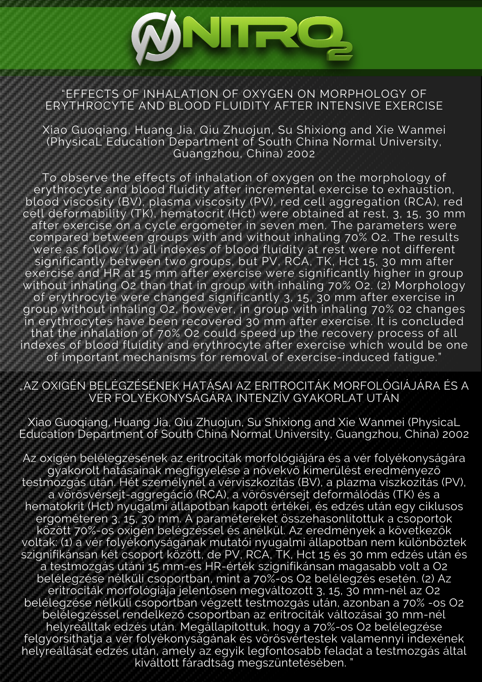#### "EFFECTS OF INHALATION OF OXYGEN ON MORPHOLOGY OF ERYTHROCYTE AND BLOOD FLUIDITY AFTER INTENSIVE EXERCISE

**ØNIRQ** 

Xiao Guoqiang, Huang Jia, Qiu Zhuojun, Su Shixiong and Xie Wanmei (PhysicaL Education Department of South China Normal University, Guangzhou, China) 2002

To observe the effects of inhalation of oxygen on the morphology of erythrocyte and blood fluidity after incremental exercise to exhaustion, blood viscosity (BV), plasma viscosity (PV), red cell aggregation (RCA), red cell deformability (TK), hematocrit (Hct) were obtained at rest, 3, 15, 30 mm after exercise on a cycle ergometer in seven men. The parameters were compared between groups with and without inhaling 70% O2. The results were as follow: (1) all indexes of blood fluidity at rest were not different significantly between two groups, but PV, RCA, TK, Hct 15, 30 mm after exercise and HR at 15 mm after exercise were significantly higher in group without inhaling O2 than that in group with inhaling 70% O2. (2) Morphology of erythrocyte were changed significantly 3, 15, 30 mm after exercise in group without inhaling O2, however, in group with inhaling 70% 02 changes in erythrocytes have been recovered 30 mm after exercise. It is concluded that the inhalation of 70% O2 could speed up the recovery process of all indexes of blood fluidity and erythrocyte after exercise which would be one of important mechanisms for removal of exercise-induced fatigue."

#### "AZ OXIGÉN BELÉGZÉSÉNEK HATÁSAI AZ ERITROCITÁK MORFOLÓGIÁJÁRA ÉS A VÉR FOLYÉKONYSÁGÁRA INTENZÍV GYAKORLAT UTÁN

Xiao Guoqiang, Huang Jia, Qiu Zhuojun, Su Shixiong and Xie Wanmei (PhysicaL Education Department of South China Normal University, Guangzhou, China) 2002

Az oxigén belélegzésének az eritrociták morfológiájára és a vér folyékonyságára gyakorolt hatásainak megfigyelése a növekvő kimerülést eredményező testmozgás után. Hét személynél a vérviszkozitás (BV), a plazma viszkozitás (PV), a vörösvérsejt-aggregáció (RCA), a vörösvérsejt deformálódás (TK) és a hematokrit (Hct) nyugalmi állapotban kapott értékei, és edzés után egy ciklusos ergométeren 3, 15, 30 mm. A paramétereket összehasonlítottuk a csoportok között 70%-os oxigén belégzéssel és anélkül. Az eredmények a következők voltak: (1) a vér folyékonyságának mutatói nyugalmi állapotban nem különböztek szignifikánsan két csoport között, de PV, RCA, TK, Hct 15 és 30 mm edzés után és a testmozgás utáni 15 mm-es HR-érték szignifikánsan magasabb volt a O2 belélegzése nélküli csoportban, mint a 70%-os O2 belélegzés esetén. (2) Az eritrociták morfológiája jelentősen megváltozott 3, 15, 30 mm-nél az O2 belélegzése nélküli csoportban végzett testmozgás után, azonban a 70% -os O2 belélegzéssel rendelkező csoportban az eritrociták változásai 30 mm-nél helyreálltak edzés után. Megállapítottuk, hogy a 70%-os O2 belélegzése felgyorsíthatja a vér folyékonyságának és vörösvértestek valamennyi indexének helyreállását edzés után, amely az egyik legfontosabb feladat a testmozgás által kiváltott fáradtság megszüntetésében. "